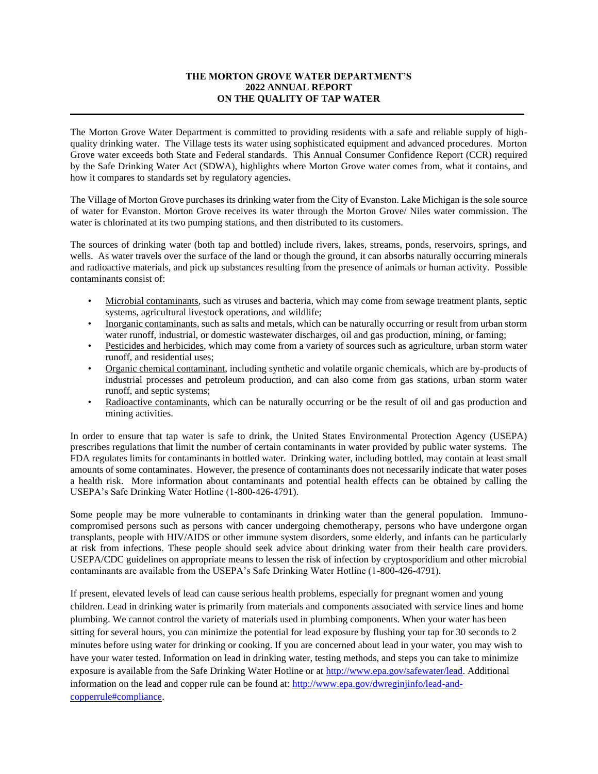### **THE MORTON GROVE WATER DEPARTMENT'S 2022 ANNUAL REPORT ON THE QUALITY OF TAP WATER**

**\_\_\_\_\_\_\_\_\_\_\_\_\_\_\_\_\_\_\_\_\_\_\_\_\_\_\_\_\_\_\_\_\_\_\_\_\_\_\_\_\_\_\_\_\_\_\_\_\_\_\_\_\_\_\_\_\_\_\_\_\_\_\_\_\_\_\_\_\_\_\_\_\_\_\_\_\_\_\_\_\_\_\_\_\_\_\_\_\_\_\_\_\_**

The Morton Grove Water Department is committed to providing residents with a safe and reliable supply of highquality drinking water. The Village tests its water using sophisticated equipment and advanced procedures. Morton Grove water exceeds both State and Federal standards. This Annual Consumer Confidence Report (CCR) required by the Safe Drinking Water Act (SDWA), highlights where Morton Grove water comes from, what it contains, and how it compares to standards set by regulatory agencies**.** 

The Village of Morton Grove purchases its drinking water from the City of Evanston. Lake Michigan is the sole source of water for Evanston. Morton Grove receives its water through the Morton Grove/ Niles water commission. The water is chlorinated at its two pumping stations, and then distributed to its customers.

The sources of drinking water (both tap and bottled) include rivers, lakes, streams, ponds, reservoirs, springs, and wells. As water travels over the surface of the land or though the ground, it can absorbs naturally occurring minerals and radioactive materials, and pick up substances resulting from the presence of animals or human activity. Possible contaminants consist of:

- Microbial contaminants, such as viruses and bacteria, which may come from sewage treatment plants, septic systems, agricultural livestock operations, and wildlife;
- Inorganic contaminants, such as salts and metals, which can be naturally occurring or result from urban storm water runoff, industrial, or domestic wastewater discharges, oil and gas production, mining, or faming;
- Pesticides and herbicides, which may come from a variety of sources such as agriculture, urban storm water runoff, and residential uses;
- Organic chemical contaminant, including synthetic and volatile organic chemicals, which are by-products of industrial processes and petroleum production, and can also come from gas stations, urban storm water runoff, and septic systems;
- Radioactive contaminants, which can be naturally occurring or be the result of oil and gas production and mining activities.

In order to ensure that tap water is safe to drink, the United States Environmental Protection Agency (USEPA) prescribes regulations that limit the number of certain contaminants in water provided by public water systems. The FDA regulates limits for contaminants in bottled water. Drinking water, including bottled, may contain at least small amounts of some contaminates. However, the presence of contaminants does not necessarily indicate that water poses a health risk. More information about contaminants and potential health effects can be obtained by calling the USEPA's Safe Drinking Water Hotline (1-800-426-4791).

Some people may be more vulnerable to contaminants in drinking water than the general population. Immunocompromised persons such as persons with cancer undergoing chemotherapy, persons who have undergone organ transplants, people with HIV/AIDS or other immune system disorders, some elderly, and infants can be particularly at risk from infections. These people should seek advice about drinking water from their health care providers. USEPA/CDC guidelines on appropriate means to lessen the risk of infection by cryptosporidium and other microbial contaminants are available from the USEPA's Safe Drinking Water Hotline (1-800-426-4791).

If present, elevated levels of lead can cause serious health problems, especially for pregnant women and young children. Lead in drinking water is primarily from materials and components associated with service lines and home plumbing. We cannot control the variety of materials used in plumbing components. When your water has been sitting for several hours, you can minimize the potential for lead exposure by flushing your tap for 30 seconds to 2 minutes before using water for drinking or cooking. If you are concerned about lead in your water, you may wish to have your water tested. Information on lead in drinking water, testing methods, and steps you can take to minimize exposure is available from the Safe Drinking Water Hotline or at [http://www.epa.gov/safewater/lead.](http://www.epa.gov/safewater/lead) Additional information on the lead and copper rule can be found at: [http://www.epa.gov/dwreginjinfo/lead-and](http://www.epa.gov/dwreginjinfo/lead-and-copperrule#compliance)[copperrule#compliance.](http://www.epa.gov/dwreginjinfo/lead-and-copperrule#compliance)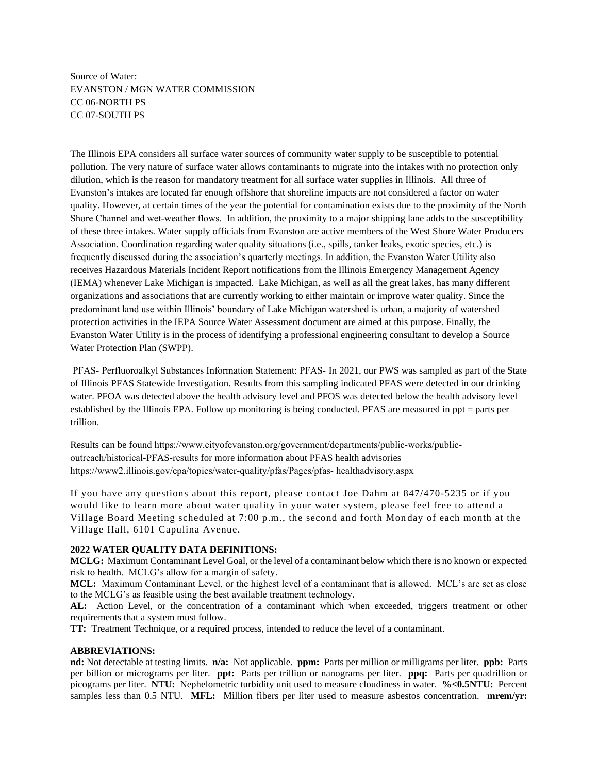# Source of Water: EVANSTON / MGN WATER COMMISSION CC 06-NORTH PS CC 07-SOUTH PS

The Illinois EPA considers all surface water sources of community water supply to be susceptible to potential pollution. The very nature of surface water allows contaminants to migrate into the intakes with no protection only dilution, which is the reason for mandatory treatment for all surface water supplies in Illinois. All three of Evanston's intakes are located far enough offshore that shoreline impacts are not considered a factor on water quality. However, at certain times of the year the potential for contamination exists due to the proximity of the North Shore Channel and wet-weather flows. In addition, the proximity to a major shipping lane adds to the susceptibility of these three intakes. Water supply officials from Evanston are active members of the West Shore Water Producers Association. Coordination regarding water quality situations (i.e., spills, tanker leaks, exotic species, etc.) is frequently discussed during the association's quarterly meetings. In addition, the Evanston Water Utility also receives Hazardous Materials Incident Report notifications from the Illinois Emergency Management Agency (IEMA) whenever Lake Michigan is impacted. Lake Michigan, as well as all the great lakes, has many different organizations and associations that are currently working to either maintain or improve water quality. Since the predominant land use within Illinois' boundary of Lake Michigan watershed is urban, a majority of watershed protection activities in the IEPA Source Water Assessment document are aimed at this purpose. Finally, the Evanston Water Utility is in the process of identifying a professional engineering consultant to develop a Source Water Protection Plan (SWPP).

PFAS‐ Perfluoroalkyl Substances Information Statement: PFAS‐ In 2021, our PWS was sampled as part of the State of Illinois PFAS Statewide Investigation. Results from this sampling indicated PFAS were detected in our drinking water. PFOA was detected above the health advisory level and PFOS was detected below the health advisory level established by the Illinois EPA. Follow up monitoring is being conducted. PFAS are measured in ppt = parts per trillion.

Results can be found https://www.cityofevanston.org/government/departments/public‐works/public‐ outreach/historical‐PFAS‐results for more information about PFAS health advisories https://www2.illinois.gov/epa/topics/water-quality/pfas/Pages/pfas- healthadvisory.aspx

If you have any questions about this report, please contact Joe Dahm at 847/470-5235 or if you would like to learn more about water quality in your water system, please feel free to attend a Village Board Meeting scheduled at 7:00 p.m., the second and forth Mon day of each month at the Village Hall, 6101 Capulina Avenue.

## **2022 WATER QUALITY DATA DEFINITIONS:**

**MCLG:** Maximum Contaminant Level Goal, or the level of a contaminant below which there is no known or expected risk to health. MCLG's allow for a margin of safety.

**MCL:** Maximum Contaminant Level, or the highest level of a contaminant that is allowed. MCL's are set as close to the MCLG's as feasible using the best available treatment technology.

**AL:** Action Level, or the concentration of a contaminant which when exceeded, triggers treatment or other requirements that a system must follow.

**TT:** Treatment Technique, or a required process, intended to reduce the level of a contaminant.

## **ABBREVIATIONS:**

**nd:** Not detectable at testing limits. **n/a:** Not applicable. **ppm:** Parts per million or milligrams per liter. **ppb:** Parts per billion or micrograms per liter. **ppt:** Parts per trillion or nanograms per liter. **ppq:** Parts per quadrillion or picograms per liter. **NTU:** Nephelometric turbidity unit used to measure cloudiness in water. **%<0.5NTU:** Percent samples less than 0.5 NTU. **MFL:** Million fibers per liter used to measure asbestos concentration. **mrem/yr:**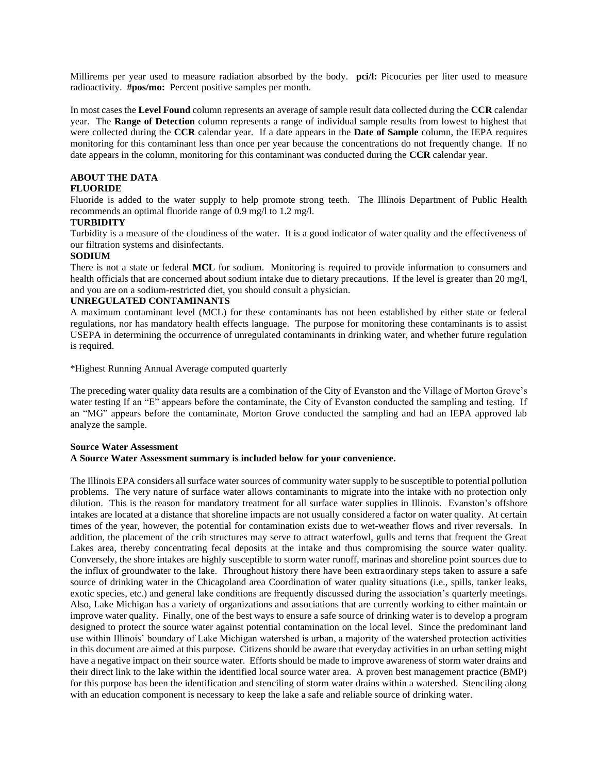Millirems per year used to measure radiation absorbed by the body. **pci/l:** Picocuries per liter used to measure radioactivity. **#pos/mo:** Percent positive samples per month.

In most cases the **Level Found** column represents an average of sample result data collected during the **CCR** calendar year. The **Range of Detection** column represents a range of individual sample results from lowest to highest that were collected during the **CCR** calendar year. If a date appears in the **Date of Sample** column, the IEPA requires monitoring for this contaminant less than once per year because the concentrations do not frequently change. If no date appears in the column, monitoring for this contaminant was conducted during the **CCR** calendar year.

# **ABOUT THE DATA**

## **FLUORIDE**

Fluoride is added to the water supply to help promote strong teeth. The Illinois Department of Public Health recommends an optimal fluoride range of 0.9 mg/l to 1.2 mg/l.

#### **TURBIDITY**

Turbidity is a measure of the cloudiness of the water. It is a good indicator of water quality and the effectiveness of our filtration systems and disinfectants.

#### **SODIUM**

There is not a state or federal **MCL** for sodium. Monitoring is required to provide information to consumers and health officials that are concerned about sodium intake due to dietary precautions. If the level is greater than 20 mg/l, and you are on a sodium-restricted diet, you should consult a physician.

## **UNREGULATED CONTAMINANTS**

A maximum contaminant level (MCL) for these contaminants has not been established by either state or federal regulations, nor has mandatory health effects language. The purpose for monitoring these contaminants is to assist USEPA in determining the occurrence of unregulated contaminants in drinking water, and whether future regulation is required.

\*Highest Running Annual Average computed quarterly

The preceding water quality data results are a combination of the City of Evanston and the Village of Morton Grove's water testing If an "E" appears before the contaminate, the City of Evanston conducted the sampling and testing. If an "MG" appears before the contaminate, Morton Grove conducted the sampling and had an IEPA approved lab analyze the sample.

#### **Source Water Assessment A Source Water Assessment summary is included below for your convenience.**

The Illinois EPA considers all surface water sources of community water supply to be susceptible to potential pollution problems. The very nature of surface water allows contaminants to migrate into the intake with no protection only dilution. This is the reason for mandatory treatment for all surface water supplies in Illinois. Evanston's offshore intakes are located at a distance that shoreline impacts are not usually considered a factor on water quality. At certain times of the year, however, the potential for contamination exists due to wet-weather flows and river reversals. In addition, the placement of the crib structures may serve to attract waterfowl, gulls and terns that frequent the Great Lakes area, thereby concentrating fecal deposits at the intake and thus compromising the source water quality. Conversely, the shore intakes are highly susceptible to storm water runoff, marinas and shoreline point sources due to the influx of groundwater to the lake. Throughout history there have been extraordinary steps taken to assure a safe source of drinking water in the Chicagoland area Coordination of water quality situations (i.e., spills, tanker leaks, exotic species, etc.) and general lake conditions are frequently discussed during the association's quarterly meetings. Also, Lake Michigan has a variety of organizations and associations that are currently working to either maintain or improve water quality. Finally, one of the best ways to ensure a safe source of drinking water is to develop a program designed to protect the source water against potential contamination on the local level. Since the predominant land use within Illinois' boundary of Lake Michigan watershed is urban, a majority of the watershed protection activities in this document are aimed at this purpose. Citizens should be aware that everyday activities in an urban setting might have a negative impact on their source water. Efforts should be made to improve awareness of storm water drains and their direct link to the lake within the identified local source water area. A proven best management practice (BMP) for this purpose has been the identification and stenciling of storm water drains within a watershed. Stenciling along with an education component is necessary to keep the lake a safe and reliable source of drinking water.